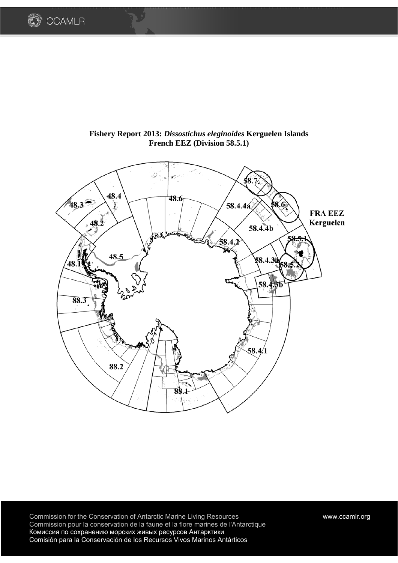



**Fishery Report 2013:** *Dissostichus eleginoides* **Kerguelen Islands French EEZ (Division 58.5.1)** 

Commission for the Conservation of Antarctic Marine Living Resources www.ccamlr.org Commission pour la conservation de la faune et la flore marines de l'Antarctique Комиссия по сохранению морских живых ресурсов Антарктики Comisión para la Conservación de los Recursos Vivos Marinos Antárticos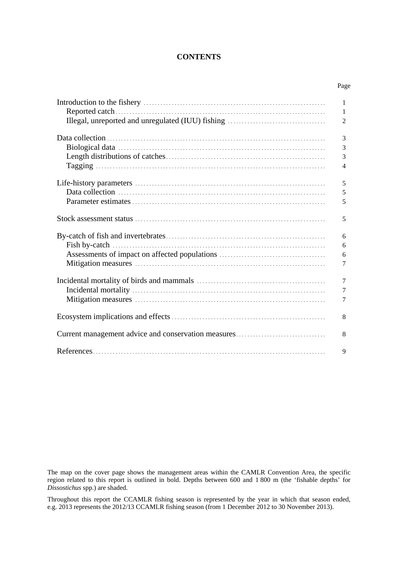## **CONTENTS**

Page

|                                                     | 1              |
|-----------------------------------------------------|----------------|
|                                                     | 1              |
|                                                     | $\overline{2}$ |
|                                                     |                |
|                                                     | 3              |
|                                                     | 3              |
|                                                     | 3              |
|                                                     | $\overline{4}$ |
|                                                     |                |
|                                                     | 5              |
|                                                     | $\sqrt{5}$     |
|                                                     | 5              |
|                                                     |                |
|                                                     | 5              |
|                                                     |                |
|                                                     | 6              |
|                                                     | 6              |
|                                                     | 6              |
|                                                     | 7              |
|                                                     |                |
|                                                     | $\overline{7}$ |
|                                                     | $\overline{7}$ |
|                                                     | 7              |
|                                                     |                |
|                                                     | 8              |
|                                                     |                |
| Current management advice and conservation measures | 8              |
|                                                     |                |
|                                                     | 9              |

The map on the cover page shows the management areas within the CAMLR Convention Area, the specific region related to this report is outlined in bold. Depths between 600 and 1 800 m (the 'fishable depths' for *Dissostichus* spp.) are shaded.

Throughout this report the CCAMLR fishing season is represented by the year in which that season ended, e.g. 2013 represents the 2012/13 CCAMLR fishing season (from 1 December 2012 to 30 November 2013).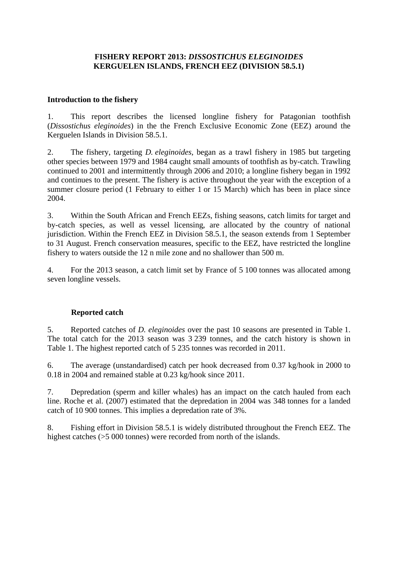## **FISHERY REPORT 2013:** *DISSOSTICHUS ELEGINOIDES* **KERGUELEN ISLANDS, FRENCH EEZ (DIVISION 58.5.1)**

## **Introduction to the fishery**

1. This report describes the licensed longline fishery for Patagonian toothfish (*Dissostichus eleginoides*) in the the French Exclusive Economic Zone (EEZ) around the Kerguelen Islands in Division 58.5.1.

2. The fishery, targeting *D. eleginoides*, began as a trawl fishery in 1985 but targeting other species between 1979 and 1984 caught small amounts of toothfish as by-catch. Trawling continued to 2001 and intermittently through 2006 and 2010; a longline fishery began in 1992 and continues to the present. The fishery is active throughout the year with the exception of a summer closure period (1 February to either 1 or 15 March) which has been in place since 2004.

3. Within the South African and French EEZs, fishing seasons, catch limits for target and by-catch species, as well as vessel licensing, are allocated by the country of national jurisdiction. Within the French EEZ in Division 58.5.1, the season extends from 1 September to 31 August. French conservation measures, specific to the EEZ, have restricted the longline fishery to waters outside the 12 n mile zone and no shallower than 500 m.

4. For the 2013 season, a catch limit set by France of 5 100 tonnes was allocated among seven longline vessels.

# **Reported catch**

5. Reported catches of *D. eleginoides* over the past 10 seasons are presented in Table 1. The total catch for the 2013 season was 3 239 tonnes, and the catch history is shown in Table 1. The highest reported catch of 5 235 tonnes was recorded in 2011.

6. The average (unstandardised) catch per hook decreased from 0.37 kg/hook in 2000 to 0.18 in 2004 and remained stable at 0.23 kg/hook since 2011.

7. Depredation (sperm and killer whales) has an impact on the catch hauled from each line. Roche et al. (2007) estimated that the depredation in 2004 was 348 tonnes for a landed catch of 10 900 tonnes. This implies a depredation rate of 3%.

8. Fishing effort in Division 58.5.1 is widely distributed throughout the French EEZ. The highest catches ( $>5000$  tonnes) were recorded from north of the islands.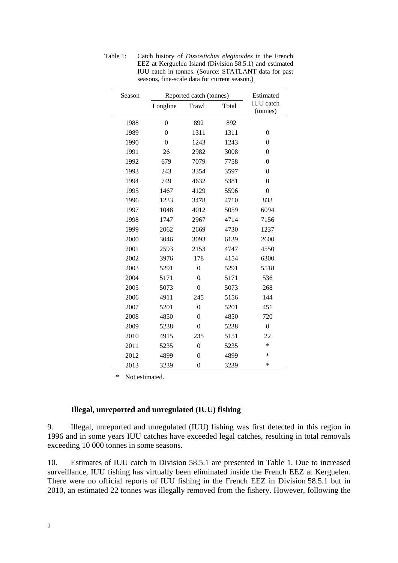| Season |                | Reported catch (tonnes) |       | Estimated                    |
|--------|----------------|-------------------------|-------|------------------------------|
|        | Longline       | Trawl                   | Total | <b>IUU</b> catch<br>(tonnes) |
| 1988   | $\mathbf{0}$   | 892                     | 892   |                              |
| 1989   | $\theta$       | 1311                    | 1311  | $\overline{0}$               |
| 1990   | $\overline{0}$ | 1243                    | 1243  | $\boldsymbol{0}$             |
| 1991   | 26             | 2982                    | 3008  | $\boldsymbol{0}$             |
| 1992   | 679            | 7079                    | 7758  | $\boldsymbol{0}$             |
| 1993   | 243            | 3354                    | 3597  | $\boldsymbol{0}$             |
| 1994   | 749            | 4632                    | 5381  | $\boldsymbol{0}$             |
| 1995   | 1467           | 4129                    | 5596  | $\boldsymbol{0}$             |
| 1996   | 1233           | 3478                    | 4710  | 833                          |
| 1997   | 1048           | 4012                    | 5059  | 6094                         |
| 1998   | 1747           | 2967                    | 4714  | 7156                         |
| 1999   | 2062           | 2669                    | 4730  | 1237                         |
| 2000   | 3046           | 3093                    | 6139  | 2600                         |
| 2001   | 2593           | 2153                    | 4747  | 4550                         |
| 2002   | 3976           | 178                     | 4154  | 6300                         |
| 2003   | 5291           | $\boldsymbol{0}$        | 5291  | 5518                         |
| 2004   | 5171           | $\boldsymbol{0}$        | 5171  | 536                          |
| 2005   | 5073           | $\boldsymbol{0}$        | 5073  | 268                          |
| 2006   | 4911           | 245                     | 5156  | 144                          |
| 2007   | 5201           | $\overline{0}$          | 5201  | 451                          |
| 2008   | 4850           | $\boldsymbol{0}$        | 4850  | 720                          |
| 2009   | 5238           | $\boldsymbol{0}$        | 5238  | $\boldsymbol{0}$             |
| 2010   | 4915           | 235                     | 5151  | 22                           |
| 2011   | 5235           | $\overline{0}$          | 5235  | *                            |
| 2012   | 4899           | $\boldsymbol{0}$        | 4899  | *                            |
| 2013   | 3239           | $\overline{0}$          | 3239  | *                            |

Table 1: Catch history of *Dissostichus eleginoides* in the French EEZ at Kerguelen Island (Division 58.5.1) and estimated IUU catch in tonnes. (Source: STATLANT data for past seasons, fine-scale data for current season.)

\* Not estimated.

## **Illegal, unreported and unregulated (IUU) fishing**

9. Illegal, unreported and unregulated (IUU) fishing was first detected in this region in 1996 and in some years IUU catches have exceeded legal catches, resulting in total removals exceeding 10 000 tonnes in some seasons.

10. Estimates of IUU catch in Division 58.5.1 are presented in Table 1. Due to increased surveillance, IUU fishing has virtually been eliminated inside the French EEZ at Kerguelen. There were no official reports of IUU fishing in the French EEZ in Division 58.5.1 but in 2010, an estimated 22 tonnes was illegally removed from the fishery. However, following the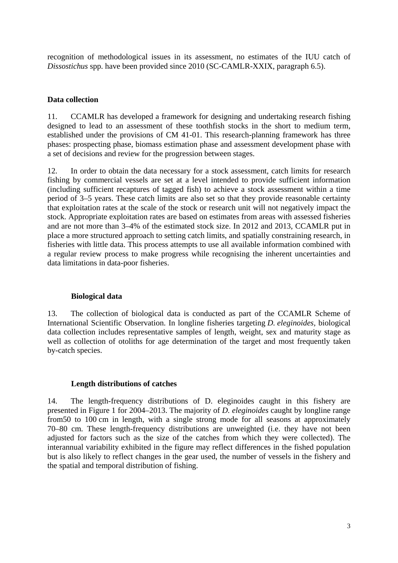recognition of methodological issues in its assessment, no estimates of the IUU catch of *Dissostichus* spp. have been provided since 2010 (SC-CAMLR-XXIX, paragraph 6.5).

# **Data collection**

11. CCAMLR has developed a framework for designing and undertaking research fishing designed to lead to an assessment of these toothfish stocks in the short to medium term, established under the provisions of CM 41-01. This research-planning framework has three phases: prospecting phase, biomass estimation phase and assessment development phase with a set of decisions and review for the progression between stages.

12. In order to obtain the data necessary for a stock assessment, catch limits for research fishing by commercial vessels are set at a level intended to provide sufficient information (including sufficient recaptures of tagged fish) to achieve a stock assessment within a time period of 3–5 years. These catch limits are also set so that they provide reasonable certainty that exploitation rates at the scale of the stock or research unit will not negatively impact the stock. Appropriate exploitation rates are based on estimates from areas with assessed fisheries and are not more than 3–4% of the estimated stock size. In 2012 and 2013, CCAMLR put in place a more structured approach to setting catch limits, and spatially constraining research, in fisheries with little data. This process attempts to use all available information combined with a regular review process to make progress while recognising the inherent uncertainties and data limitations in data-poor fisheries.

## **Biological data**

13. The collection of biological data is conducted as part of the CCAMLR Scheme of International Scientific Observation. In longline fisheries targeting *D. eleginoides,* biological data collection includes representative samples of length, weight, sex and maturity stage as well as collection of otoliths for age determination of the target and most frequently taken by-catch species.

## **Length distributions of catches**

14. The length-frequency distributions of D. eleginoides caught in this fishery are presented in Figure 1 for 2004–2013. The majority of *D. eleginoides* caught by longline range from50 to 100 cm in length, with a single strong mode for all seasons at approximately 70–80 cm. These length-frequency distributions are unweighted (i.e. they have not been adjusted for factors such as the size of the catches from which they were collected). The interannual variability exhibited in the figure may reflect differences in the fished population but is also likely to reflect changes in the gear used, the number of vessels in the fishery and the spatial and temporal distribution of fishing.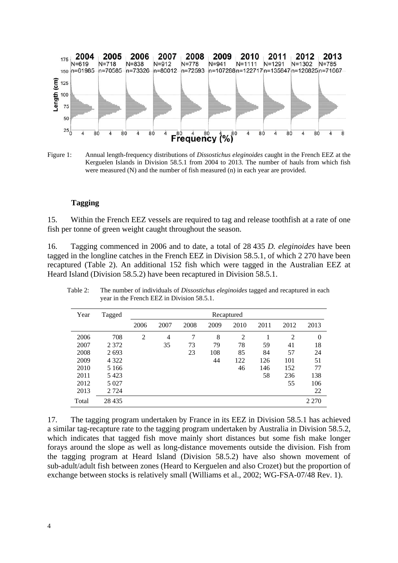

Figure 1: Annual length-frequency distributions of *Dissostichus eleginoides* caught in the French EEZ at the Kerguelen Islands in Division 58.5.1 from 2004 to 2013. The number of hauls from which fish were measured (N) and the number of fish measured (n) in each year are provided.

#### **Tagging**

15. Within the French EEZ vessels are required to tag and release toothfish at a rate of one fish per tonne of green weight caught throughout the season.

16. Tagging commenced in 2006 and to date, a total of 28 435 *D. eleginoides* have been tagged in the longline catches in the French EEZ in Division 58.5.1, of which 2 270 have been recaptured (Table 2). An additional 152 fish which were tagged in the Australian EEZ at Heard Island (Division 58.5.2) have been recaptured in Division 58.5.1.

| Year  | Tagged  | Recaptured     |      |      |      |                |      |      |          |
|-------|---------|----------------|------|------|------|----------------|------|------|----------|
|       |         | 2006           | 2007 | 2008 | 2009 | 2010           | 2011 | 2012 | 2013     |
| 2006  | 708     | $\overline{2}$ | 4    | 7    | 8    | $\overline{2}$ |      | 2    | $\theta$ |
| 2007  | 2 3 7 2 |                | 35   | 73   | 79   | 78             | 59   | 41   | 18       |
| 2008  | 2693    |                |      | 23   | 108  | 85             | 84   | 57   | 24       |
| 2009  | 4 3 2 2 |                |      |      | 44   | 122            | 126  | 101  | 51       |
| 2010  | 5 1 6 6 |                |      |      |      | 46             | 146  | 152  | 77       |
| 2011  | 5423    |                |      |      |      |                | 58   | 236  | 138      |
| 2012  | 5 0 27  |                |      |      |      |                |      | 55   | 106      |
| 2013  | 2 7 2 4 |                |      |      |      |                |      |      | 22       |
| Total | 28 4 35 |                |      |      |      |                |      |      | 2 2 7 0  |

Table 2: The number of individuals of *Dissostichus eleginoides* tagged and recaptured in each year in the French EEZ in Division 58.5.1.

17. The tagging program undertaken by France in its EEZ in Division 58.5.1 has achieved a similar tag-recapture rate to the tagging program undertaken by Australia in Division 58.5.2, which indicates that tagged fish move mainly short distances but some fish make longer forays around the slope as well as long-distance movements outside the division. Fish from the tagging program at Heard Island (Division 58.5.2) have also shown movement of sub-adult/adult fish between zones (Heard to Kerguelen and also Crozet) but the proportion of exchange between stocks is relatively small (Williams et al., 2002; WG-FSA-07/48 Rev. 1).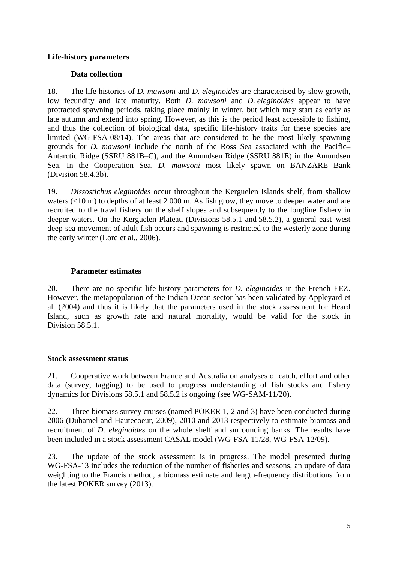## **Life-history parameters**

## **Data collection**

18. The life histories of *D. mawsoni* and *D. eleginoides* are characterised by slow growth, low fecundity and late maturity. Both *D. mawsoni* and *D. eleginoides* appear to have protracted spawning periods, taking place mainly in winter, but which may start as early as late autumn and extend into spring. However, as this is the period least accessible to fishing, and thus the collection of biological data, specific life-history traits for these species are limited (WG-FSA-08/14). The areas that are considered to be the most likely spawning grounds for *D. mawsoni* include the north of the Ross Sea associated with the Pacific– Antarctic Ridge (SSRU 881B–C), and the Amundsen Ridge (SSRU 881E) in the Amundsen Sea. In the Cooperation Sea, *D. mawsoni* most likely spawn on BANZARE Bank (Division 58.4.3b).

19. *Dissostichus eleginoides* occur throughout the Kerguelen Islands shelf, from shallow waters (<10 m) to depths of at least 2 000 m. As fish grow, they move to deeper water and are recruited to the trawl fishery on the shelf slopes and subsequently to the longline fishery in deeper waters. On the Kerguelen Plateau (Divisions 58.5.1 and 58.5.2), a general east–west deep-sea movement of adult fish occurs and spawning is restricted to the westerly zone during the early winter (Lord et al., 2006).

## **Parameter estimates**

20. There are no specific life-history parameters for *D. eleginoides* in the French EEZ. However, the metapopulation of the Indian Ocean sector has been validated by Appleyard et al. (2004) and thus it is likely that the parameters used in the stock assessment for Heard Island, such as growth rate and natural mortality, would be valid for the stock in Division 58.5.1.

## **Stock assessment status**

21. Cooperative work between France and Australia on analyses of catch, effort and other data (survey, tagging) to be used to progress understanding of fish stocks and fishery dynamics for Divisions 58.5.1 and 58.5.2 is ongoing (see WG-SAM-11/20).

22. Three biomass survey cruises (named POKER 1, 2 and 3) have been conducted during 2006 (Duhamel and Hautecoeur, 2009), 2010 and 2013 respectively to estimate biomass and recruitment of *D. eleginoides* on the whole shelf and surrounding banks. The results have been included in a stock assessment CASAL model (WG-FSA-11/28, WG-FSA-12/09).

23. The update of the stock assessment is in progress. The model presented during WG-FSA-13 includes the reduction of the number of fisheries and seasons, an update of data weighting to the Francis method, a biomass estimate and length-frequency distributions from the latest POKER survey (2013).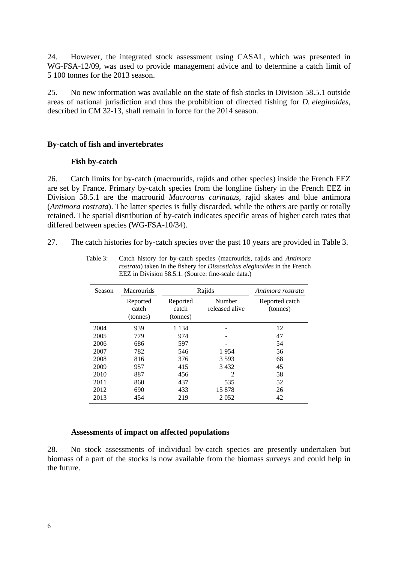24. However, the integrated stock assessment using CASAL, which was presented in WG-FSA-12/09, was used to provide management advice and to determine a catch limit of 5 100 tonnes for the 2013 season.

25. No new information was available on the state of fish stocks in Division 58.5.1 outside areas of national jurisdiction and thus the prohibition of directed fishing for *D. eleginoides*, described in CM 32-13, shall remain in force for the 2014 season.

### **By-catch of fish and invertebrates**

### **Fish by-catch**

26. Catch limits for by-catch (macrourids, rajids and other species) inside the French EEZ are set by France. Primary by-catch species from the longline fishery in the French EEZ in Division 58.5.1 are the macrourid *Macrourus carinatus*, rajid skates and blue antimora (*Antimora rostrata*). The latter species is fully discarded, while the others are partly or totally retained. The spatial distribution of by-catch indicates specific areas of higher catch rates that differed between species (WG-FSA-10/34).

27. The catch histories for by-catch species over the past 10 years are provided in Table 3.

| <b>Season</b> | <b>Macrourids</b>             |                               | Rajids                                                                                                                                                          | Antimora rostrata          |
|---------------|-------------------------------|-------------------------------|-----------------------------------------------------------------------------------------------------------------------------------------------------------------|----------------------------|
|               | Reported<br>catch<br>(tonnes) | Reported<br>catch<br>(tonnes) | Number<br>released alive                                                                                                                                        | Reported catch<br>(tonnes) |
| 2004          | 939                           | 1 1 3 4                       |                                                                                                                                                                 | 12                         |
| 2005          | 779                           | 974                           |                                                                                                                                                                 | 47                         |
| 2006          | 686                           | 597                           |                                                                                                                                                                 | 54                         |
| 2007          | 782                           | 546                           | 1954                                                                                                                                                            | 56                         |
| 2008          | 816                           | 376                           | 3 5 9 3                                                                                                                                                         | 68                         |
| 2009          | 957                           | 415                           | 3432                                                                                                                                                            | 45                         |
| 2010          | 887                           | 456                           | $\mathcal{D}_{\mathcal{A}}^{\mathcal{A}}(\mathcal{A})=\mathcal{D}_{\mathcal{A}}^{\mathcal{A}}(\mathcal{A})\mathcal{D}_{\mathcal{A}}^{\mathcal{A}}(\mathcal{A})$ | 58                         |
| 2011          | 860                           | 437                           | 535                                                                                                                                                             | 52                         |
| 2012          | 690                           | 433                           | 15878                                                                                                                                                           | 26                         |
| 2013          | 454                           | 219                           | 2052                                                                                                                                                            | 42                         |

Table 3: Catch history for by-catch species (macrourids, rajids and *Antimora rostrata*) taken in the fishery for *Dissostichus eleginoides* in the French EEZ in Division 58.5.1. (Source: fine-scale data.)

## **Assessments of impact on affected populations**

28. No stock assessments of individual by-catch species are presently undertaken but biomass of a part of the stocks is now available from the biomass surveys and could help in the future.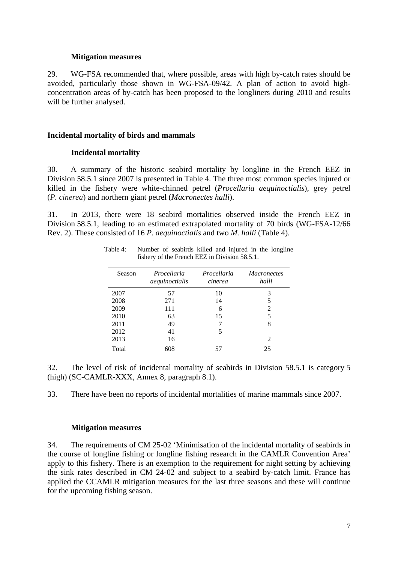### **Mitigation measures**

29. WG-FSA recommended that, where possible, areas with high by-catch rates should be avoided, particularly those shown in WG-FSA-09/42. A plan of action to avoid highconcentration areas of by-catch has been proposed to the longliners during 2010 and results will be further analysed.

#### **Incidental mortality of birds and mammals**

#### **Incidental mortality**

30. A summary of the historic seabird mortality by longline in the French EEZ in Division 58.5.1 since 2007 is presented in Table 4. The three most common species injured or killed in the fishery were white-chinned petrel (*Procellaria aequinoctialis*), grey petrel (*P. cinerea*) and northern giant petrel (*Macronectes halli*).

31. In 2013, there were 18 seabird mortalities observed inside the French EEZ in Division 58.5.1, leading to an estimated extrapolated mortality of 70 birds (WG-FSA-12/66 Rev. 2). These consisted of 16 *P. aequinoctialis* and two *M. halli* (Table 4).

| Season | Procellaria<br>aequinoctialis | Procellaria<br>cinerea | <i>Macronectes</i><br>halli |
|--------|-------------------------------|------------------------|-----------------------------|
| 2007   | 57                            | 10                     | 3                           |
| 2008   | 271                           | 14                     | 5                           |
| 2009   | 111                           | 6                      | 2                           |
| 2010   | 63                            | 15                     | 5                           |
| 2011   | 49                            |                        | 8                           |
| 2012   | 41                            | 5                      |                             |
| 2013   | 16                            |                        | 2                           |
| Total  | 608                           |                        | 25                          |

Table 4: Number of seabirds killed and injured in the longline fishery of the French EEZ in Division 58.5.1.

32. The level of risk of incidental mortality of seabirds in Division 58.5.1 is category 5 (high) (SC-CAMLR-XXX, Annex 8, paragraph 8.1).

33. There have been no reports of incidental mortalities of marine mammals since 2007.

### **Mitigation measures**

34. The requirements of CM 25-02 'Minimisation of the incidental mortality of seabirds in the course of longline fishing or longline fishing research in the CAMLR Convention Area' apply to this fishery. There is an exemption to the requirement for night setting by achieving the sink rates described in CM 24-02 and subject to a seabird by-catch limit. France has applied the CCAMLR mitigation measures for the last three seasons and these will continue for the upcoming fishing season.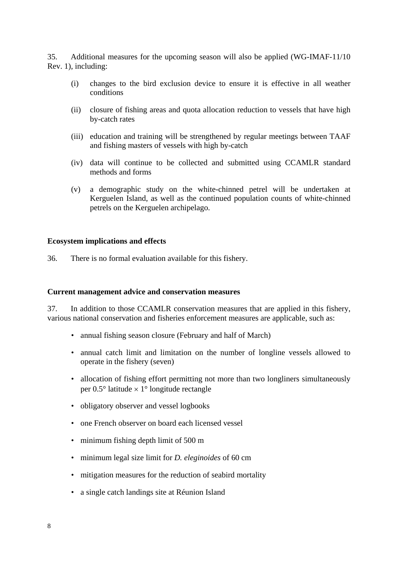35. Additional measures for the upcoming season will also be applied (WG-IMAF-11/10 Rev. 1), including:

- (i) changes to the bird exclusion device to ensure it is effective in all weather conditions
- (ii) closure of fishing areas and quota allocation reduction to vessels that have high by-catch rates
- (iii) education and training will be strengthened by regular meetings between TAAF and fishing masters of vessels with high by-catch
- (iv) data will continue to be collected and submitted using CCAMLR standard methods and forms
- (v) a demographic study on the white-chinned petrel will be undertaken at Kerguelen Island, as well as the continued population counts of white-chinned petrels on the Kerguelen archipelago.

### **Ecosystem implications and effects**

36. There is no formal evaluation available for this fishery.

#### **Current management advice and conservation measures**

37. In addition to those CCAMLR conservation measures that are applied in this fishery, various national conservation and fisheries enforcement measures are applicable, such as:

- annual fishing season closure (February and half of March)
- annual catch limit and limitation on the number of longline vessels allowed to operate in the fishery (seven)
- allocation of fishing effort permitting not more than two longliners simultaneously per  $0.5^{\circ}$  latitude  $\times$  1° longitude rectangle
- obligatory observer and vessel logbooks
- one French observer on board each licensed vessel
- minimum fishing depth limit of 500 m
- minimum legal size limit for *D. eleginoides* of 60 cm
- mitigation measures for the reduction of seabird mortality
- a single catch landings site at Réunion Island